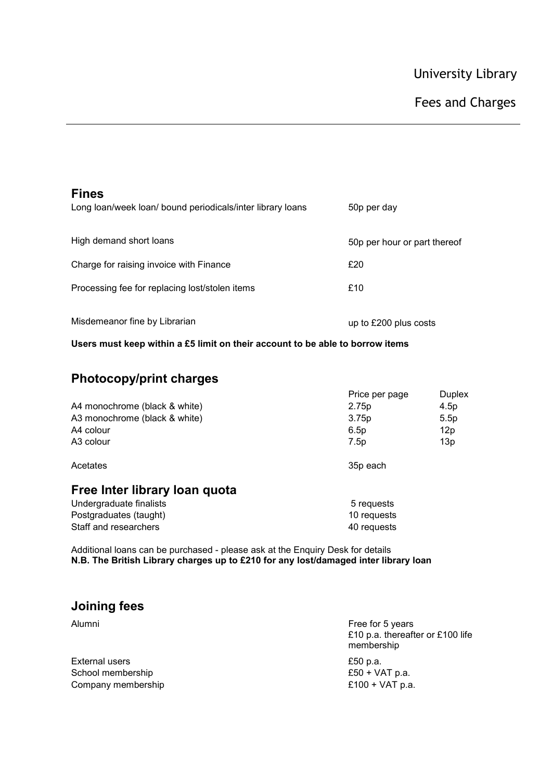| <b>Fines</b><br>Long loan/week loan/ bound periodicals/inter library loans | 50p per day                  |
|----------------------------------------------------------------------------|------------------------------|
| High demand short loans                                                    | 50p per hour or part thereof |
| Charge for raising invoice with Finance                                    | £20                          |
| Processing fee for replacing lost/stolen items                             | £10                          |
| Misdemeanor fine by Librarian                                              | up to £200 plus costs        |

**Users must keep within a £5 limit on their account to be able to borrow items** 

## **Photocopy/print charges**

|                               | Price per page    | Duplex           |
|-------------------------------|-------------------|------------------|
| A4 monochrome (black & white) | 2.75 <sub>p</sub> | 4.5 <sub>D</sub> |
| A3 monochrome (black & white) | 3.75p             | 5.5 <sub>D</sub> |
| A4 colour                     | 6.5p              | 12p              |
| A <sub>3</sub> colour         | 7.5p              | 13p              |
|                               |                   |                  |

Acetates 35p each

## **Free Inter library loan quota**

Undergraduate finalists **5** requests Postgraduates (taught) 10 requests Staff and researchers and the search of the state of the state of the state of the state of the state of the state of the state of the state of the state of the state of the state of the state of the state of the state of

Additional loans can be purchased - please ask at the Enquiry Desk for details **N.B. The British Library charges up to £210 for any lost/damaged inter library loan**

## **Joining fees**

| Alumni             | Free for 5 years<br>£10 p.a. thereafter or £100 life<br>membership |
|--------------------|--------------------------------------------------------------------|
| External users     | £50 p.a.                                                           |
| School membership  | £50 + $VAT$ p.a.                                                   |
| Company membership | £100 + $VAT$ p.a.                                                  |